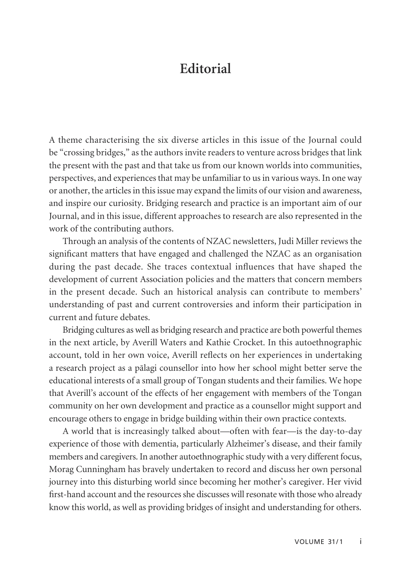## **Editorial**

A theme characterising the six diverse articles in this issue of the Journal could be "crossing bridges," as the authors invite readers to venture across bridges that link the present with the past and that take us from our known worlds into communities, perspectives, and experiences that may be unfamiliar to us in various ways. In one way or another, the articles in this issue may expand the limits of our vision and awareness, and inspire our curiosity. Bridging research and practice is an important aim of our Journal, and in this issue, different approaches to research are also represented in the work of the contributing authors.

Through an analysis of the contents of NZAC newsletters, Judi Miller reviews the significant matters that have engaged and challenged the NZAC as an organisation during the past decade. She traces contextual influences that have shaped the development of current Association policies and the matters that concern members in the present decade. Such an historical analysis can contribute to members' understanding of past and current controversies and inform their participation in current and future debates.

Bridging cultures as well as bridging research and practice are both powerful themes in the next article, by Averill Waters and Kathie Crocket. In this autoethnographic account, told in her own voice, Averill reflects on her experiences in undertaking a research project as a pälagi counsellor into how her school might better serve the educational interests of a small group of Tongan students and their families. We hope that Averill's account of the effects of her engagement with members of the Tongan community on her own development and practice as a counsellor might support and encourage others to engage in bridge building within their own practice contexts.

A world that is increasingly talked about—often with fear—is the day-to-day experience of those with dementia, particularly Alzheimer's disease, and their family members and caregivers. In another autoethnographic study with a very different focus, Morag Cunningham has bravely undertaken to record and discuss her own personal journey into this disturbing world since becoming her mother's caregiver. Her vivid first-hand account and the resources she discusses will resonate with those who already know this world, as well as providing bridges of insight and understanding for others.